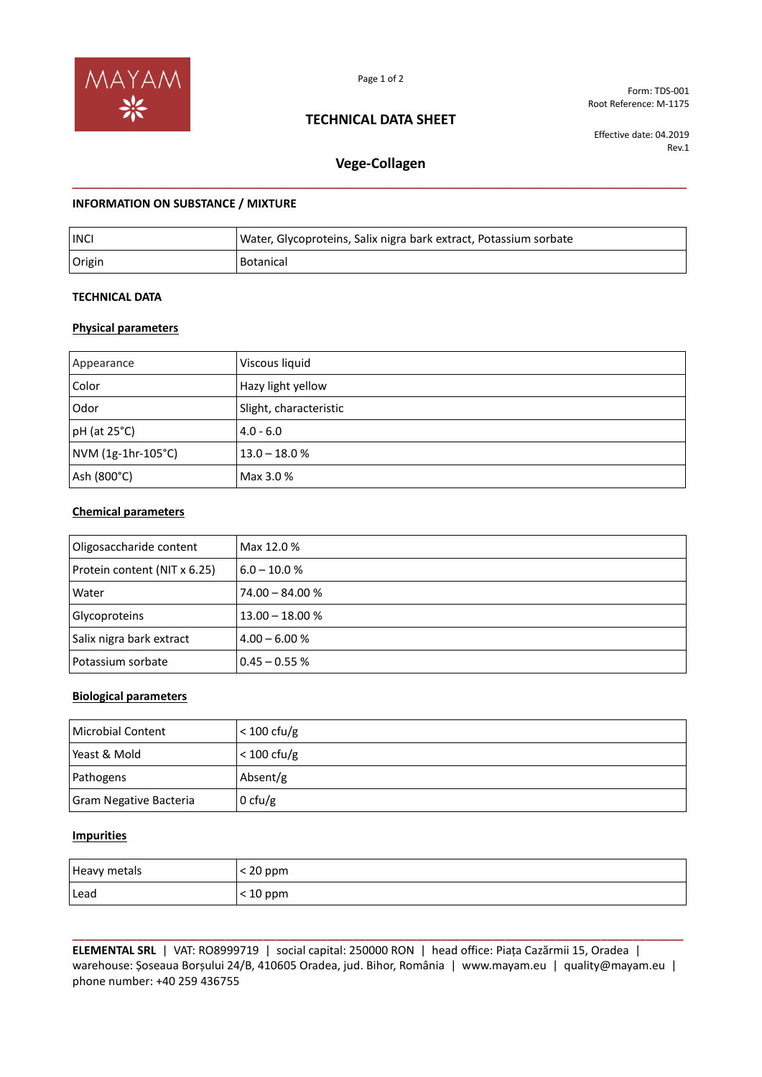

Page 1 of 2

## **TECHNICAL DATA SHEET**

Form: TDS-001 Root Reference: M-1175

Effective date: 04.2019 Rev.1

# **Vege-Collagen \_\_\_\_\_\_\_\_\_\_\_\_\_\_\_\_\_\_\_\_\_\_\_\_\_\_\_\_\_\_\_\_\_\_\_\_\_\_\_\_\_\_\_\_\_\_\_\_\_\_\_\_\_\_\_\_\_\_\_\_\_\_\_\_\_\_\_\_\_\_\_\_\_\_\_\_\_\_\_\_**

### **INFORMATION ON SUBSTANCE / MIXTURE**

| <b>INC</b> | Water, Glycoproteins, Salix nigra bark extract, Potassium sorbate |
|------------|-------------------------------------------------------------------|
| Origin     | Botanical                                                         |

#### **TECHNICAL DATA**

### **Physical parameters**

| Appearance         | Viscous liquid         |
|--------------------|------------------------|
| Color              | Hazy light yellow      |
| Odor               | Slight, characteristic |
| $pH$ (at 25 $°C$ ) | $4.0 - 6.0$            |
| NVM (1g-1hr-105°C) | $13.0 - 18.0 %$        |
| Ash (800°C)        | Max 3.0 %              |

### **Chemical parameters**

| Oligosaccharide content      | Max 12.0 %        |
|------------------------------|-------------------|
| Protein content (NIT x 6.25) | $6.0 - 10.0 %$    |
| Water                        | $74.00 - 84.00 %$ |
| Glycoproteins                | $13.00 - 18.00 %$ |
| Salix nigra bark extract     | $4.00 - 6.00 %$   |
| Potassium sorbate            | $0.45 - 0.55 %$   |

#### **Biological parameters**

| Microbial Content      | $< 100 \text{ cfu/g}$ |
|------------------------|-----------------------|
| Yeast & Mold           | $< 100 \text{ cfu/g}$ |
| Pathogens              | Absent/g              |
| Gram Negative Bacteria | $0 \text{ cfu/g}$     |

#### **Impurities**

| Heavy metals | $< 20$ ppm |
|--------------|------------|
| Lead         | $<$ 10 ppm |

**\_\_\_\_\_\_\_\_\_\_\_\_\_\_\_\_\_\_\_\_\_\_\_\_\_\_\_\_\_\_\_\_\_\_\_\_\_\_\_\_\_\_\_\_\_\_\_\_\_\_\_\_\_\_\_\_\_\_\_\_\_\_\_\_\_\_\_\_\_\_\_\_\_\_\_\_\_\_\_\_\_\_\_\_\_\_\_\_\_\_\_\_\_\_\_\_ ELEMENTAL SRL** | VAT: RO8999719 | social capital: 250000 RON | head office: Piața Cazărmii 15, Oradea | warehouse: Șoseaua Borșului 24/B, 410605 Oradea, jud. Bihor, România | www.mayam.eu | quality@mayam.eu | phone number: +40 259 436755